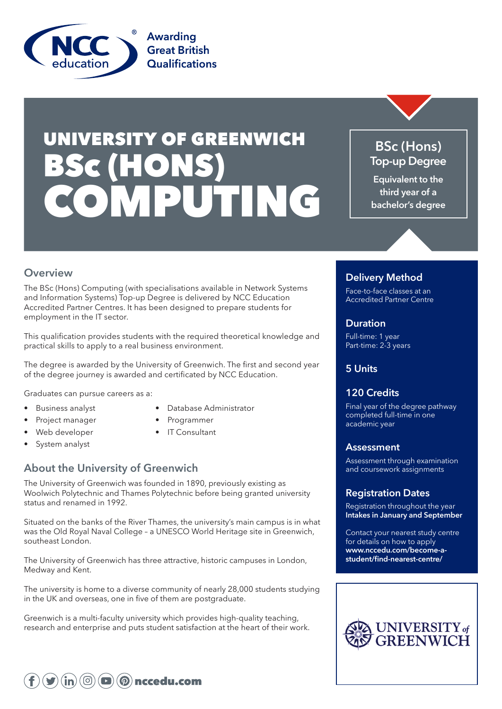

# UNIVERSITY OF GREENWICH BSc (HONS) COMPUTING

## **BSc (Hons) Top-up Degree**

**Equivalent to the third year of a bachelor's degree**

## **Overview**

The BSc (Hons) Computing (with specialisations available in Network Systems and Information Systems) Top-up Degree is delivered by NCC Education Accredited Partner Centres. It has been designed to prepare students for employment in the IT sector.

This qualification provides students with the required theoretical knowledge and practical skills to apply to a real business environment.

The degree is awarded by the University of Greenwich. The first and second year of the degree journey is awarded and certificated by NCC Education.

Graduates can pursue careers as a:

- 
- Business analyst Database Administrator
- Project manager Programmer
	-
- Web developer IT Consultant
- System analyst
	-

## **About the University of Greenwich**

The University of Greenwich was founded in 1890, previously existing as Woolwich Polytechnic and Thames Polytechnic before being granted university status and renamed in 1992.

Situated on the banks of the River Thames, the university's main campus is in what was the Old Royal Naval College – a UNESCO World Heritage site in Greenwich, southeast London.

The University of Greenwich has three attractive, historic campuses in London, Medway and Kent.

The university is home to a diverse community of nearly 28,000 students studying in the UK and overseas, one in five of them are postgraduate.

Greenwich is a multi-faculty university which provides high-quality teaching, research and enterprise and puts student satisfaction at the heart of their work.

## **Delivery Method**

Face-to-face classes at an Accredited Partner Centre

#### **Duration**

Full-time: 1 year Part-time: 2-3 years

## **5 Units**

## **120 Credits**

Final year of the degree pathway completed full-time in one academic year

#### **Assessment**

Assessment through examination and coursework assignments

## **Registration Dates**

Registration throughout the year **Intakes in January and September**

Contact your nearest study centre for details on how to apply **www.nccedu.com/become-astudent/find-nearest-centre/**